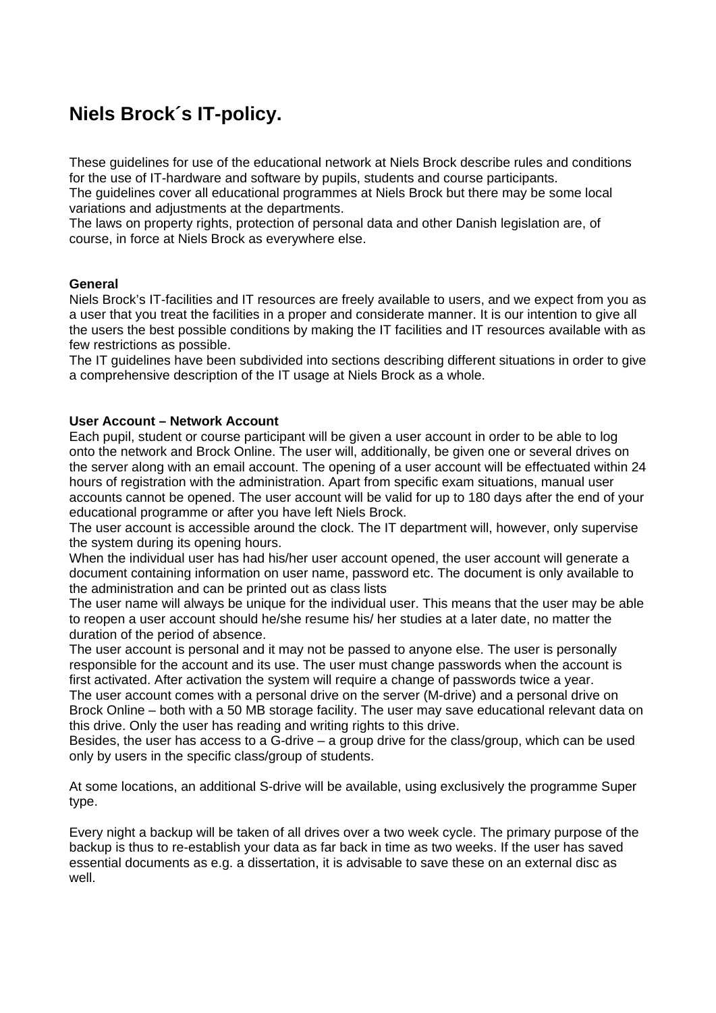# **Niels Brock´s IT-policy.**

These guidelines for use of the educational network at Niels Brock describe rules and conditions for the use of IT-hardware and software by pupils, students and course participants.

The guidelines cover all educational programmes at Niels Brock but there may be some local variations and adjustments at the departments.

The laws on property rights, protection of personal data and other Danish legislation are, of course, in force at Niels Brock as everywhere else.

## **General**

Niels Brock's IT-facilities and IT resources are freely available to users, and we expect from you as a user that you treat the facilities in a proper and considerate manner. It is our intention to give all the users the best possible conditions by making the IT facilities and IT resources available with as few restrictions as possible.

The IT guidelines have been subdivided into sections describing different situations in order to give a comprehensive description of the IT usage at Niels Brock as a whole.

## **User Account – Network Account**

Each pupil, student or course participant will be given a user account in order to be able to log onto the network and Brock Online. The user will, additionally, be given one or several drives on the server along with an email account. The opening of a user account will be effectuated within 24 hours of registration with the administration. Apart from specific exam situations, manual user accounts cannot be opened. The user account will be valid for up to 180 days after the end of your educational programme or after you have left Niels Brock.

The user account is accessible around the clock. The IT department will, however, only supervise the system during its opening hours.

When the individual user has had his/her user account opened, the user account will generate a document containing information on user name, password etc. The document is only available to the administration and can be printed out as class lists

The user name will always be unique for the individual user. This means that the user may be able to reopen a user account should he/she resume his/ her studies at a later date, no matter the duration of the period of absence.

The user account is personal and it may not be passed to anyone else. The user is personally responsible for the account and its use. The user must change passwords when the account is first activated. After activation the system will require a change of passwords twice a year.

The user account comes with a personal drive on the server (M-drive) and a personal drive on Brock Online – both with a 50 MB storage facility. The user may save educational relevant data on this drive. Only the user has reading and writing rights to this drive.

Besides, the user has access to a G-drive – a group drive for the class/group, which can be used only by users in the specific class/group of students.

At some locations, an additional S-drive will be available, using exclusively the programme Super type.

Every night a backup will be taken of all drives over a two week cycle. The primary purpose of the backup is thus to re-establish your data as far back in time as two weeks. If the user has saved essential documents as e.g. a dissertation, it is advisable to save these on an external disc as well.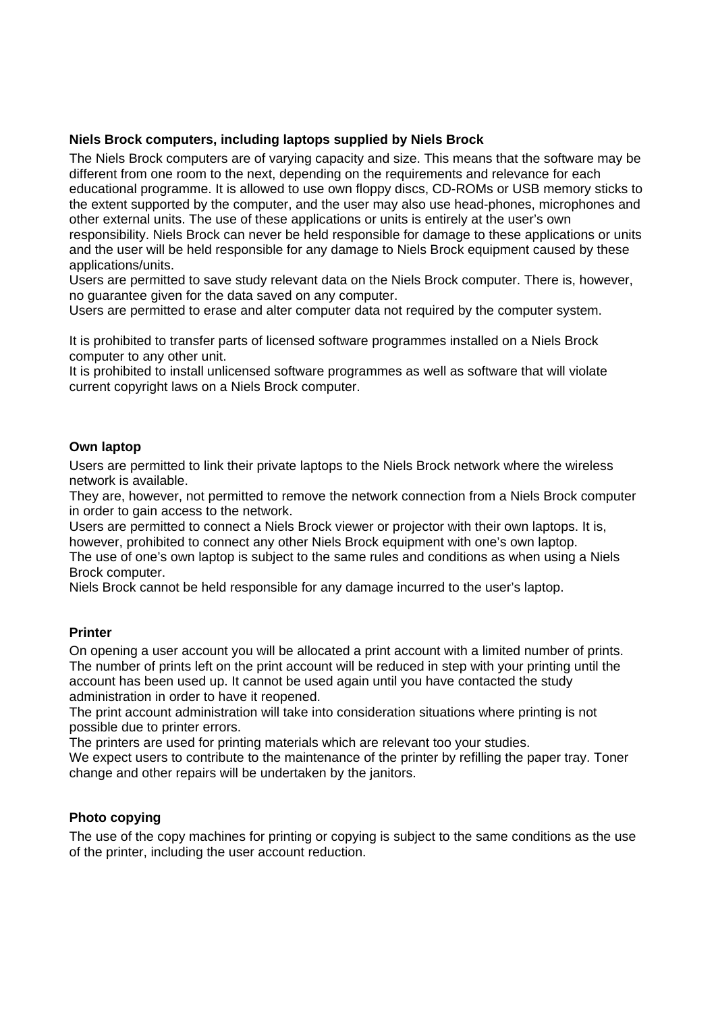# **Niels Brock computers, including laptops supplied by Niels Brock**

The Niels Brock computers are of varying capacity and size. This means that the software may be different from one room to the next, depending on the requirements and relevance for each educational programme. It is allowed to use own floppy discs, CD-ROMs or USB memory sticks to the extent supported by the computer, and the user may also use head-phones, microphones and other external units. The use of these applications or units is entirely at the user's own responsibility. Niels Brock can never be held responsible for damage to these applications or units and the user will be held responsible for any damage to Niels Brock equipment caused by these applications/units.

Users are permitted to save study relevant data on the Niels Brock computer. There is, however, no guarantee given for the data saved on any computer.

Users are permitted to erase and alter computer data not required by the computer system.

It is prohibited to transfer parts of licensed software programmes installed on a Niels Brock computer to any other unit.

It is prohibited to install unlicensed software programmes as well as software that will violate current copyright laws on a Niels Brock computer.

## **Own laptop**

Users are permitted to link their private laptops to the Niels Brock network where the wireless network is available.

They are, however, not permitted to remove the network connection from a Niels Brock computer in order to gain access to the network.

Users are permitted to connect a Niels Brock viewer or projector with their own laptops. It is, however, prohibited to connect any other Niels Brock equipment with one's own laptop.

The use of one's own laptop is subject to the same rules and conditions as when using a Niels Brock computer.

Niels Brock cannot be held responsible for any damage incurred to the user's laptop.

## **Printer**

On opening a user account you will be allocated a print account with a limited number of prints. The number of prints left on the print account will be reduced in step with your printing until the account has been used up. It cannot be used again until you have contacted the study administration in order to have it reopened.

The print account administration will take into consideration situations where printing is not possible due to printer errors.

The printers are used for printing materials which are relevant too your studies.

We expect users to contribute to the maintenance of the printer by refilling the paper tray. Toner change and other repairs will be undertaken by the janitors.

#### **Photo copying**

The use of the copy machines for printing or copying is subject to the same conditions as the use of the printer, including the user account reduction.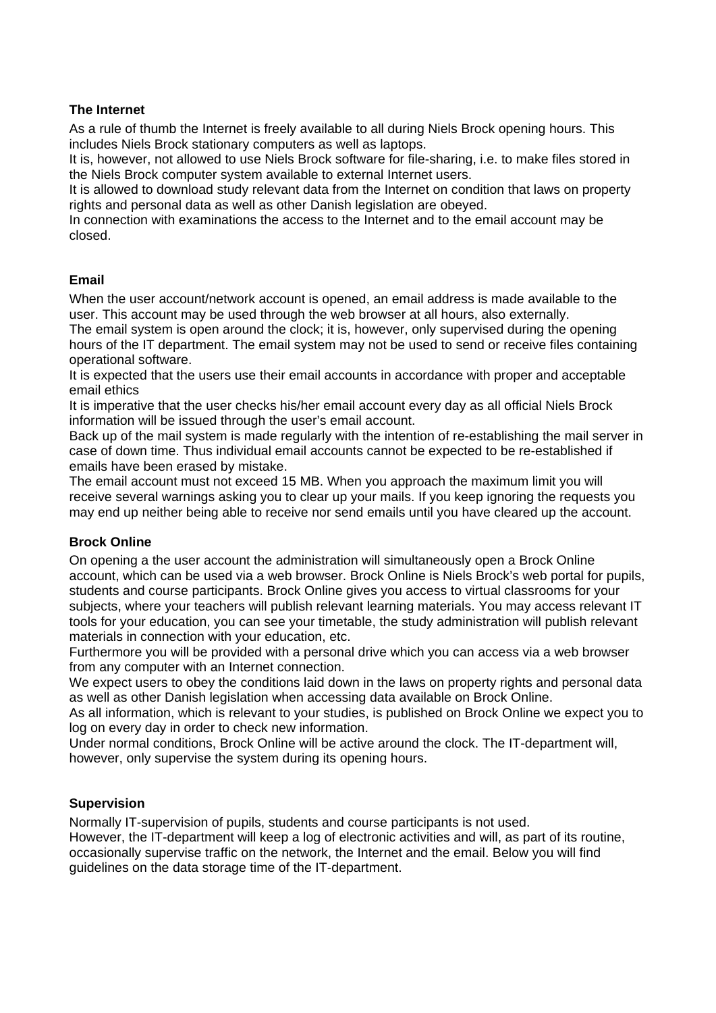# **The Internet**

As a rule of thumb the Internet is freely available to all during Niels Brock opening hours. This includes Niels Brock stationary computers as well as laptops.

It is, however, not allowed to use Niels Brock software for file-sharing, i.e. to make files stored in the Niels Brock computer system available to external Internet users.

It is allowed to download study relevant data from the Internet on condition that laws on property rights and personal data as well as other Danish legislation are obeyed.

In connection with examinations the access to the Internet and to the email account may be closed.

## **Email**

When the user account/network account is opened, an email address is made available to the user. This account may be used through the web browser at all hours, also externally.

The email system is open around the clock; it is, however, only supervised during the opening hours of the IT department. The email system may not be used to send or receive files containing operational software.

It is expected that the users use their email accounts in accordance with proper and acceptable email ethics

It is imperative that the user checks his/her email account every day as all official Niels Brock information will be issued through the user's email account.

Back up of the mail system is made regularly with the intention of re-establishing the mail server in case of down time. Thus individual email accounts cannot be expected to be re-established if emails have been erased by mistake.

The email account must not exceed 15 MB. When you approach the maximum limit you will receive several warnings asking you to clear up your mails. If you keep ignoring the requests you may end up neither being able to receive nor send emails until you have cleared up the account.

# **Brock Online**

On opening a the user account the administration will simultaneously open a Brock Online account, which can be used via a web browser. Brock Online is Niels Brock's web portal for pupils, students and course participants. Brock Online gives you access to virtual classrooms for your subjects, where your teachers will publish relevant learning materials. You may access relevant IT tools for your education, you can see your timetable, the study administration will publish relevant materials in connection with your education, etc.

Furthermore you will be provided with a personal drive which you can access via a web browser from any computer with an Internet connection.

We expect users to obey the conditions laid down in the laws on property rights and personal data as well as other Danish legislation when accessing data available on Brock Online.

As all information, which is relevant to your studies, is published on Brock Online we expect you to log on every day in order to check new information.

Under normal conditions, Brock Online will be active around the clock. The IT-department will, however, only supervise the system during its opening hours.

## **Supervision**

Normally IT-supervision of pupils, students and course participants is not used. However, the IT-department will keep a log of electronic activities and will, as part of its routine, occasionally supervise traffic on the network, the Internet and the email. Below you will find guidelines on the data storage time of the IT-department.